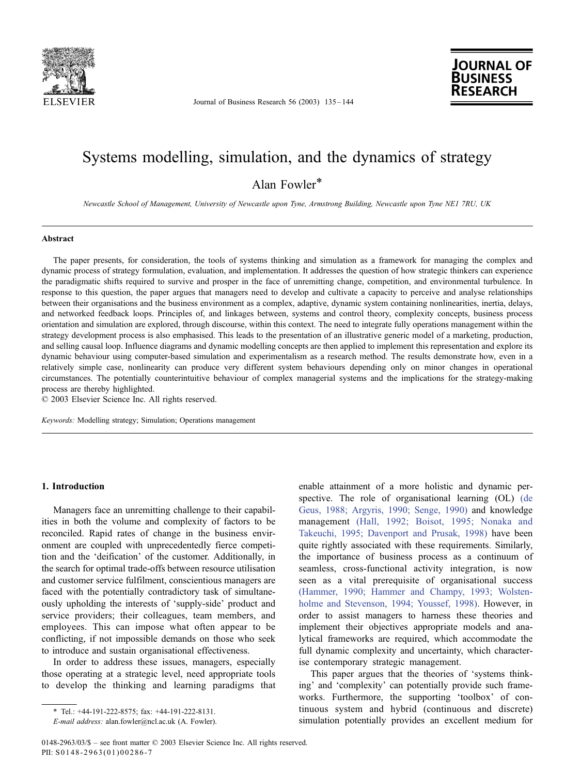

Journal of Business Research 56 (2003) 135-144



## Systems modelling, simulation, and the dynamics of strategy

Alan Fowler\*

Newcastle School of Management, University of Newcastle upon Tyne, Armstrong Building, Newcastle upon Tyne NE1 7RU, UK

#### Abstract

The paper presents, for consideration, the tools of systems thinking and simulation as a framework for managing the complex and dynamic process of strategy formulation, evaluation, and implementation. It addresses the question of how strategic thinkers can experience the paradigmatic shifts required to survive and prosper in the face of unremitting change, competition, and environmental turbulence. In response to this question, the paper argues that managers need to develop and cultivate a capacity to perceive and analyse relationships between their organisations and the business environment as a complex, adaptive, dynamic system containing nonlinearities, inertia, delays, and networked feedback loops. Principles of, and linkages between, systems and control theory, complexity concepts, business process orientation and simulation are explored, through discourse, within this context. The need to integrate fully operations management within the strategy development process is also emphasised. This leads to the presentation of an illustrative generic model of a marketing, production, and selling causal loop. Influence diagrams and dynamic modelling concepts are then applied to implement this representation and explore its dynamic behaviour using computer-based simulation and experimentalism as a research method. The results demonstrate how, even in a relatively simple case, nonlinearity can produce very different system behaviours depending only on minor changes in operational circumstances. The potentially counterintuitive behaviour of complex managerial systems and the implications for the strategy-making process are thereby highlighted.

 $© 2003 Elsevier Science Inc. All rights reserved.$ 

Keywords: Modelling strategy; Simulation; Operations management

#### 1. Introduction

Managers face an unremitting challenge to their capabilities in both the volume and complexity of factors to be reconciled. Rapid rates of change in the business environment are coupled with unprecedentedly fierce competition and the 'deification' of the customer. Additionally, in the search for optimal trade-offs between resource utilisation and customer service fulfilment, conscientious managers are faced with the potentially contradictory task of simultaneously upholding the interests of 'supply-side' product and service providers; their colleagues, team members, and employees. This can impose what often appear to be conflicting, if not impossible demands on those who seek to introduce and sustain organisational effectiveness.

In order to address these issues, managers, especially those operating at a strategic level, need appropriate tools to develop the thinking and learning paradigms that

enable attainment of a more holistic and dynamic perspective. The role of organisational learning (OL) [\(de](#page--1-0) Geus, 1988; Argyris, 1990; Senge, 1990) and knowledge management [\(Hall, 1992; Boisot, 1995; Nonaka and](#page--1-0) Takeuchi, 1995; Davenport and Prusak, 1998) have been quite rightly associated with these requirements. Similarly, the importance of business process as a continuum of seamless, cross-functional activity integration, is now seen as a vital prerequisite of organisational success [\(Hammer, 1990; Hammer and Champy, 1993; Wolsten](#page--1-0)holme and Stevenson, 1994; Youssef, 1998). However, in order to assist managers to harness these theories and implement their objectives appropriate models and analytical frameworks are required, which accommodate the full dynamic complexity and uncertainty, which characterise contemporary strategic management.

This paper argues that the theories of 'systems thinking' and 'complexity' can potentially provide such frameworks. Furthermore, the supporting 'toolbox' of continuous system and hybrid (continuous and discrete) simulation potentially provides an excellent medium for

<sup>\*</sup> Tel.: +44-191-222-8575; fax: +44-191-222-8131.

E-mail address: alan.fowler@ncl.ac.uk (A. Fowler).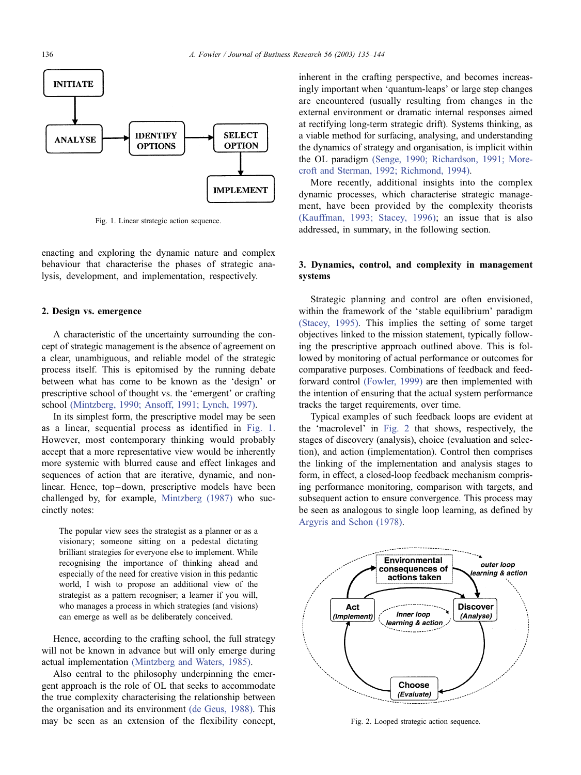

Fig. 1. Linear strategic action sequence.

enacting and exploring the dynamic nature and complex behaviour that characterise the phases of strategic analysis, development, and implementation, respectively.

#### 2. Design vs. emergence

A characteristic of the uncertainty surrounding the concept of strategic management is the absence of agreement on a clear, unambiguous, and reliable model of the strategic process itself. This is epitomised by the running debate between what has come to be known as the 'design' or prescriptive school of thought vs. the 'emergent' or crafting school [\(Mintzberg, 1990; Ansoff, 1991; Lynch, 1997\).](#page--1-0)

In its simplest form, the prescriptive model may be seen as a linear, sequential process as identified in Fig. 1. However, most contemporary thinking would probably accept that a more representative view would be inherently more systemic with blurred cause and effect linkages and sequences of action that are iterative, dynamic, and nonlinear. Hence, top-down, prescriptive models have been challenged by, for example, [Mintzberg \(1987\)](#page--1-0) who succinctly notes:

The popular view sees the strategist as a planner or as a visionary; someone sitting on a pedestal dictating brilliant strategies for everyone else to implement. While recognising the importance of thinking ahead and especially of the need for creative vision in this pedantic world, I wish to propose an additional view of the strategist as a pattern recogniser; a learner if you will, who manages a process in which strategies (and visions) can emerge as well as be deliberately conceived.

Hence, according to the crafting school, the full strategy will not be known in advance but will only emerge during actual implementation [\(Mintzberg and Waters, 1985\).](#page--1-0)

Also central to the philosophy underpinning the emergent approach is the role of OL that seeks to accommodate the true complexity characterising the relationship between the organisation and its environment [\(de Geus, 1988\).](#page--1-0) This may be seen as an extension of the flexibility concept,

inherent in the crafting perspective, and becomes increasingly important when 'quantum-leaps' or large step changes are encountered (usually resulting from changes in the external environment or dramatic internal responses aimed at rectifying long-term strategic drift). Systems thinking, as a viable method for surfacing, analysing, and understanding the dynamics of strategy and organisation, is implicit within the OL paradigm [\(Senge, 1990; Richardson, 1991; More](#page--1-0)croft and Sterman, 1992; Richmond, 1994).

More recently, additional insights into the complex dynamic processes, which characterise strategic management, have been provided by the complexity theorists [\(Kauffman, 1993; Stacey, 1996\);](#page--1-0) an issue that is also addressed, in summary, in the following section.

### 3. Dynamics, control, and complexity in management systems

Strategic planning and control are often envisioned, within the framework of the 'stable equilibrium' paradigm [\(Stacey, 1995\).](#page--1-0) This implies the setting of some target objectives linked to the mission statement, typically following the prescriptive approach outlined above. This is followed by monitoring of actual performance or outcomes for comparative purposes. Combinations of feedback and feedforward control [\(Fowler, 1999\)](#page--1-0) are then implemented with the intention of ensuring that the actual system performance tracks the target requirements, over time.

Typical examples of such feedback loops are evident at the 'macrolevel' in Fig. 2 that shows, respectively, the stages of discovery (analysis), choice (evaluation and selection), and action (implementation). Control then comprises the linking of the implementation and analysis stages to form, in effect, a closed-loop feedback mechanism comprising performance monitoring, comparison with targets, and subsequent action to ensure convergence. This process may be seen as analogous to single loop learning, as defined by [Argyris and Schon \(1978\).](#page--1-0)



Fig. 2. Looped strategic action sequence.